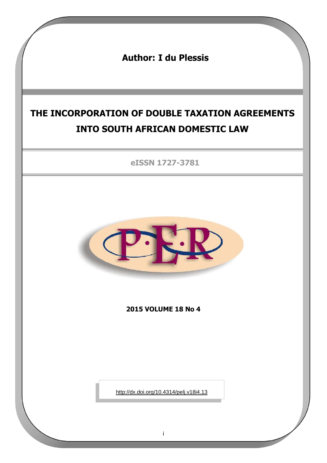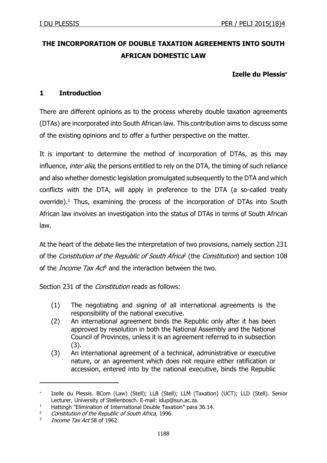# **THE INCORPORATION OF DOUBLE TAXATION AGREEMENTS INTO SOUTH AFRICAN DOMESTIC LAW**

### **Izelle du Plessis**

### **1 Introduction**

There are different opinions as to the process whereby double taxation agreements (DTAs) are incorporated into South African law. This contribution aims to discuss some of the existing opinions and to offer a further perspective on the matter.

It is important to determine the method of incorporation of DTAs, as this may influence, *inter alia*, the persons entitled to rely on the DTA, the timing of such reliance and also whether domestic legislation promulgated subsequently to the DTA and which conflicts with the DTA, will apply in preference to the DTA (a so-called treaty override).<sup>1</sup> Thus, examining the process of the incorporation of DTAs into South African law involves an investigation into the status of DTAs in terms of South African law.

At the heart of the debate lies the interpretation of two provisions, namely section 231 of the Constitution of the Republic of South Africa<sup>2</sup> (the Constitution) and section 108 of the *Income Tax Act*<sup>3</sup> and the interaction between the two.

Section 231 of the *Constitution* reads as follows:

- (1) The negotiating and signing of all international agreements is the responsibility of the national executive.
- (2) An international agreement binds the Republic only after it has been approved by resolution in both the National Assembly and the National Council of Provinces, unless it is an agreement referred to in subsection (3).
- (3) An international agreement of a technical, administrative or executive nature, or an agreement which does not require either ratification or accession, entered into by the national executive, binds the Republic

<sup>×</sup> Izelle du Plessis. BCom (Law) (Stell); LLB (Stell); LLM (Taxation) (UCT); LLD (Stell). Senior Lecturer, University of Stellenbosch. E-mail: idup@sun.ac.za.

<sup>&</sup>lt;sup>1</sup> Hattingh "Elimination of International Double Taxation" para 36.14.<br><sup>2</sup> Constitution of the Republic of South Africa 1996

<sup>2</sup> Constitution of the Republic of South Africa, 1996.

<sup>3</sup> Income Tax Act 58 of 1962.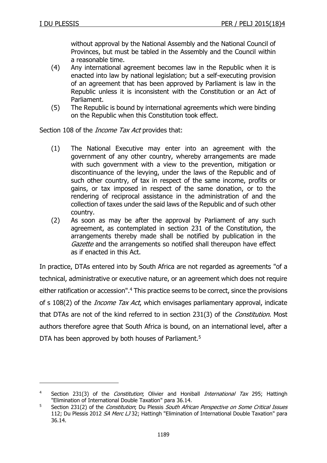-

without approval by the National Assembly and the National Council of Provinces, but must be tabled in the Assembly and the Council within a reasonable time.

- (4) Any international agreement becomes law in the Republic when it is enacted into law by national legislation; but a self-executing provision of an agreement that has been approved by Parliament is law in the Republic unless it is inconsistent with the Constitution or an Act of Parliament.
- (5) The Republic is bound by international agreements which were binding on the Republic when this Constitution took effect.

Section 108 of the *Income Tax Act* provides that:

- (1) The National Executive may enter into an agreement with the government of any other country, whereby arrangements are made with such government with a view to the prevention, mitigation or discontinuance of the levying, under the laws of the Republic and of such other country, of tax in respect of the same income, profits or gains, or tax imposed in respect of the same donation, or to the rendering of reciprocal assistance in the administration of and the collection of taxes under the said laws of the Republic and of such other country.
- (2) As soon as may be after the approval by Parliament of any such agreement, as contemplated in section 231 of the Constitution, the arrangements thereby made shall be notified by publication in the Gazette and the arrangements so notified shall thereupon have effect as if enacted in this Act.

In practice, DTAs entered into by South Africa are not regarded as agreements "of a technical, administrative or executive nature, or an agreement which does not require either ratification or accession".<sup>4</sup> This practice seems to be correct, since the provisions of s 108(2) of the *Income Tax Act*, which envisages parliamentary approval, indicate that DTAs are not of the kind referred to in section 231(3) of the *Constitution*. Most authors therefore agree that South Africa is bound, on an international level, after a DTA has been approved by both houses of Parliament.<sup>5</sup>

<sup>&</sup>lt;sup>4</sup> Section 231(3) of the *Constitution*; Olivier and Honiball *International Tax* 295; Hattingh "Elimination of International Double Taxation" para 36.14.

 $5$  Section 231(2) of the *Constitution*; Du Plessis *South African Perspective on Some Critical Issues* 112; Du Plessis 2012 SA Merc LJ 32; Hattingh "Elimination of International Double Taxation" para 36.14.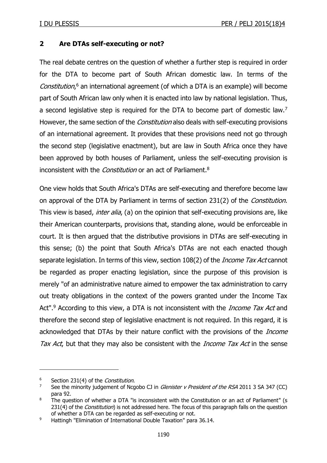### **2 Are DTAs self-executing or not?**

The real debate centres on the question of whether a further step is required in order for the DTA to become part of South African domestic law. In terms of the Constitution,<sup>6</sup> an international agreement (of which a DTA is an example) will become part of South African law only when it is enacted into law by national legislation. Thus, a second legislative step is required for the DTA to become part of domestic law.<sup>7</sup> However, the same section of the *Constitution* also deals with self-executing provisions of an international agreement. It provides that these provisions need not go through the second step (legislative enactment), but are law in South Africa once they have been approved by both houses of Parliament, unless the self-executing provision is inconsistent with the *Constitution* or an act of Parliament.<sup>8</sup>

One view holds that South Africa's DTAs are self-executing and therefore become law on approval of the DTA by Parliament in terms of section 231(2) of the *Constitution*. This view is based, *inter alia*, (a) on the opinion that self-executing provisions are, like their American counterparts, provisions that, standing alone, would be enforceable in court. It is then argued that the distributive provisions in DTAs are self-executing in this sense; (b) the point that South Africa's DTAs are not each enacted though separate legislation. In terms of this view, section 108(2) of the *Income Tax Act* cannot be regarded as proper enacting legislation, since the purpose of this provision is merely "of an administrative nature aimed to empower the tax administration to carry out treaty obligations in the context of the powers granted under the Income Tax Act".<sup>9</sup> According to this view, a DTA is not inconsistent with the *Income Tax Act* and therefore the second step of legislative enactment is not required. In this regard, it is acknowledged that DTAs by their nature conflict with the provisions of the *Income* Tax Act, but that they may also be consistent with the *Income Tax Act* in the sense

<sup>&</sup>lt;sup>6</sup> Section 231(4) of the *Constitution*.

<sup>&</sup>lt;sup>7</sup> See the minority judgement of Ncgobo CJ in *Glenister v President of the RSA* 2011 3 SA 347 (CC) para 92.

 $8$  The question of whether a DTA "is inconsistent with the Constitution or an act of Parliament" (s  $231(4)$  of the *Constitution*) is not addressed here. The focus of this paragraph falls on the question of whether a DTA can be regarded as self-executing or not.

<sup>9</sup> Hattingh "Elimination of International Double Taxation" para 36.14.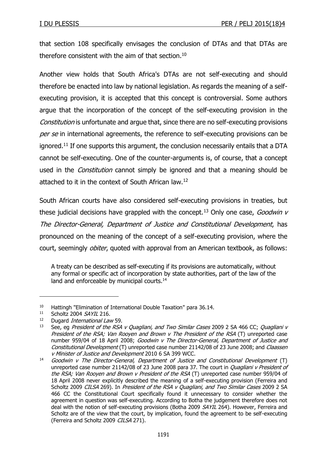that section 108 specifically envisages the conclusion of DTAs and that DTAs are therefore consistent with the aim of that section.<sup>10</sup>

Another view holds that South Africa's DTAs are not self-executing and should therefore be enacted into law by national legislation. As regards the meaning of a selfexecuting provision, it is accepted that this concept is controversial. Some authors argue that the incorporation of the concept of the self-executing provision in the Constitution is unfortunate and argue that, since there are no self-executing provisions per se in international agreements, the reference to self-executing provisions can be ignored.<sup>11</sup> If one supports this argument, the conclusion necessarily entails that a DTA cannot be self-executing. One of the counter-arguments is, of course, that a concept used in the *Constitution* cannot simply be ignored and that a meaning should be attached to it in the context of South African law.<sup>12</sup>

South African courts have also considered self-executing provisions in treaties, but these judicial decisions have grappled with the concept.<sup>13</sup> Only one case, *Goodwin v* The Director-General, Department of Justice and Constitutional Development, has pronounced on the meaning of the concept of a self-executing provision, where the court, seemingly *obiter*, quoted with approval from an American textbook, as follows:

A treaty can be described as self-executing if its provisions are automatically, without any formal or specific act of incorporation by state authorities, part of the law of the land and enforceable by municipal courts.<sup>14</sup>

<sup>&</sup>lt;sup>10</sup> Hattingh "Elimination of International Double Taxation" para 36.14.

<sup>11</sup> Scholtz 2004 SAYIL 216.

<sup>&</sup>lt;sup>12</sup> Dugard *International Law* 59.

<sup>&</sup>lt;sup>13</sup> See, eg President of the RSA v Quagliani, and Two Similar Cases 2009 2 SA 466 CC; Quagliani v President of the RSA; Van Rooyen and Brown v The President of the RSA (T) unreported case number 959/04 of 18 April 2008; Goodwin v The Director-General, Department of Justice and Constitutional Development (T) unreported case number 21142/08 of 23 June 2008; and Claassen v Minister of Justice and Development 2010 6 SA 399 WCC.

<sup>&</sup>lt;sup>14</sup> Goodwin v The Director-General, Department of Justice and Constitutional Development (T) unreported case number 21142/08 of 23 June 2008 para 37. The court in *Quagliani v President of* the RSA; Van Rooyen and Brown v President of the RSA (T) unreported case number 959/04 of 18 April 2008 never explicitly described the meaning of a self-executing provision (Ferreira and Scholtz 2009 CILSA 269). In President of the RSA v Quagliani, and Two Similar Cases 2009 2 SA 466 CC the Constitutional Court specifically found it unnecessary to consider whether the agreement in question was self-executing. According to Botha the judgement therefore does not deal with the notion of self-executing provisions (Botha 2009 SAYIL 264). However, Ferreira and Scholtz are of the view that the court, by implication, found the agreement to be self-executing (Ferreira and Scholtz 2009 CILSA 271).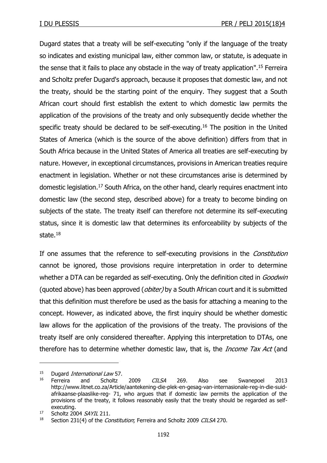Dugard states that a treaty will be self-executing "only if the language of the treaty so indicates and existing municipal law, either common law, or statute, is adequate in the sense that it fails to place any obstacle in the way of treaty application". <sup>15</sup> Ferreira and Scholtz prefer Dugard's approach, because it proposes that domestic law, and not the treaty, should be the starting point of the enquiry. They suggest that a South African court should first establish the extent to which domestic law permits the application of the provisions of the treaty and only subsequently decide whether the specific treaty should be declared to be self-executing.<sup>16</sup> The position in the United States of America (which is the source of the above definition) differs from that in South Africa because in the United States of America all treaties are self-executing by nature. However, in exceptional circumstances, provisions in American treaties require enactment in legislation. Whether or not these circumstances arise is determined by domestic legislation.<sup>17</sup> South Africa, on the other hand, clearly requires enactment into domestic law (the second step, described above) for a treaty to become binding on subjects of the state. The treaty itself can therefore not determine its self-executing status, since it is domestic law that determines its enforceability by subjects of the state.<sup>18</sup>

If one assumes that the reference to self-executing provisions in the *Constitution* cannot be ignored, those provisions require interpretation in order to determine whether a DTA can be regarded as self-executing. Only the definition cited in *Goodwin* (quoted above) has been approved (*obiter*) by a South African court and it is submitted that this definition must therefore be used as the basis for attaching a meaning to the concept. However, as indicated above, the first inquiry should be whether domestic law allows for the application of the provisions of the treaty. The provisions of the treaty itself are only considered thereafter. Applying this interpretation to DTAs, one therefore has to determine whether domestic law, that is, the *Income Tax Act* (and

<sup>&</sup>lt;sup>15</sup> Dugard *International Law* 57.

<sup>&</sup>lt;sup>16</sup> Ferreira and Scholtz 2009 CILSA 269. Also see Swanepoel 2013 http://www.litnet.co.za/Article/aantekening-die-plek-en-gesag-van-internasionale-reg-in-die-suidafrikaanse-plaaslike-reg- 71, who argues that if domestic law permits the application of the provisions of the treaty, it follows reasonably easily that the treaty should be regarded as selfexecuting.

<sup>&</sup>lt;sup>17</sup> Scholtz 2004 SAYIL 211.

<sup>&</sup>lt;sup>18</sup> Section 231(4) of the *Constitution*; Ferreira and Scholtz 2009 CILSA 270.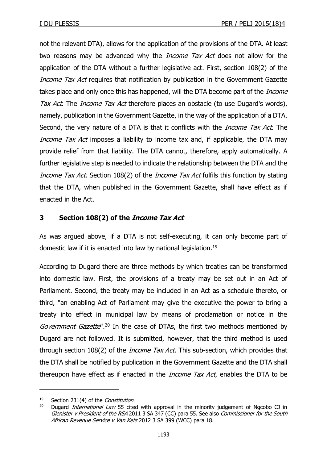not the relevant DTA), allows for the application of the provisions of the DTA. At least two reasons may be advanced why the *Income Tax Act* does not allow for the application of the DTA without a further legislative act. First, section 108(2) of the Income Tax Act requires that notification by publication in the Government Gazette takes place and only once this has happened, will the DTA become part of the *Income* Tax Act. The *Income Tax Act* therefore places an obstacle (to use Dugard's words), namely, publication in the Government Gazette, in the way of the application of a DTA. Second, the very nature of a DTA is that it conflicts with the *Income Tax Act*. The Income Tax Act imposes a liability to income tax and, if applicable, the DTA may provide relief from that liability. The DTA cannot, therefore, apply automatically. A further legislative step is needed to indicate the relationship between the DTA and the Income Tax Act. Section 108(2) of the *Income Tax Act* fulfils this function by stating that the DTA, when published in the Government Gazette, shall have effect as if enacted in the Act.

### **3 Section 108(2) of the Income Tax Act**

As was argued above, if a DTA is not self-executing, it can only become part of domestic law if it is enacted into law by national legislation.<sup>19</sup>

According to Dugard there are three methods by which treaties can be transformed into domestic law. First, the provisions of a treaty may be set out in an Act of Parliament. Second, the treaty may be included in an Act as a schedule thereto, or third, "an enabling Act of Parliament may give the executive the power to bring a treaty into effect in municipal law by means of proclamation or notice in the Government Gazette<sup>" 20</sup> In the case of DTAs, the first two methods mentioned by Dugard are not followed. It is submitted, however, that the third method is used through section 108(2) of the *Income Tax Act*. This sub-section, which provides that the DTA shall be notified by publication in the Government Gazette and the DTA shall thereupon have effect as if enacted in the *Income Tax Act*, enables the DTA to be

<sup>&</sup>lt;sup>19</sup> Section 231(4) of the *Constitution*.

Dugard *International Law* 55 cited with approval in the minority judgement of Ngcobo CJ in Glenister v President of the RSA 2011 3 SA 347 (CC) para 55. See also Commissioner for the South African Revenue Service v Van Kets 2012 3 SA 399 (WCC) para 18.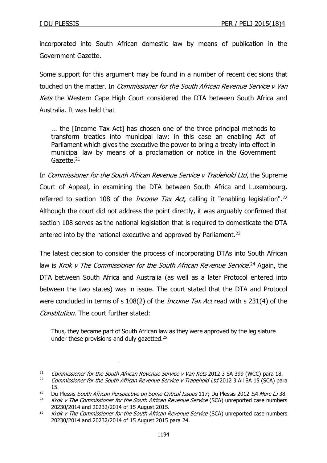-

incorporated into South African domestic law by means of publication in the Government Gazette.

Some support for this argument may be found in a number of recent decisions that touched on the matter. In *Commissioner for the South African Revenue Service v Van* Kets the Western Cape High Court considered the DTA between South Africa and Australia. It was held that

... the [Income Tax Act] has chosen one of the three principal methods to transform treaties into municipal law; in this case an enabling Act of Parliament which gives the executive the power to bring a treaty into effect in municipal law by means of a proclamation or notice in the Government Gazette.<sup>21</sup>

In Commissioner for the South African Revenue Service v Tradehold Ltd, the Supreme Court of Appeal, in examining the DTA between South Africa and Luxembourg, referred to section 108 of the *Income Tax Act*, calling it "enabling legislation".<sup>22</sup> Although the court did not address the point directly, it was arguably confirmed that section 108 serves as the national legislation that is required to domesticate the DTA entered into by the national executive and approved by Parliament.<sup>23</sup>

The latest decision to consider the process of incorporating DTAs into South African law is Krok v The Commissioner for the South African Revenue Service.<sup>24</sup> Again, the DTA between South Africa and Australia (as well as a later Protocol entered into between the two states) was in issue. The court stated that the DTA and Protocol were concluded in terms of s 108(2) of the *Income Tax Act* read with s 231(4) of the Constitution. The court further stated:

Thus, they became part of South African law as they were approved by the legislature under these provisions and duly gazetted.<sup>25</sup>

<sup>&</sup>lt;sup>21</sup> Commissioner for the South African Revenue Service v Van Kets 2012 3 SA 399 (WCC) para 18.

<sup>&</sup>lt;sup>22</sup> Commissioner for the South African Revenue Service v Tradehold Ltd 2012 3 All SA 15 (SCA) para 15.

<sup>&</sup>lt;sup>23</sup> Du Plessis *South African Perspective on Some Critical Issues* 117; Du Plessis 2012 *SA Merc LJ* 38.<br><sup>24</sup> Krak v The Commissioner for the South African Peyenue Service (SCA) unreported case numbers

Krok v The Commissioner for the South African Revenue Service (SCA) unreported case numbers 20230/2014 and 20232/2014 of 15 August 2015.

<sup>&</sup>lt;sup>25</sup> Krok v The Commissioner for the South African Revenue Service (SCA) unreported case numbers 20230/2014 and 20232/2014 of 15 August 2015 para 24.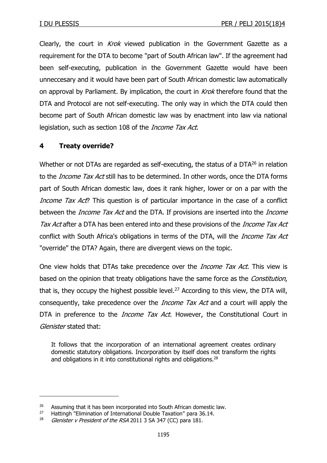Clearly, the court in *Krok* viewed publication in the Government Gazette as a requirement for the DTA to become "part of South African law". If the agreement had been self-executing, publication in the Government Gazette would have been unneccesary and it would have been part of South African domestic law automatically on approval by Parliament. By implication, the court in Krok therefore found that the DTA and Protocol are not self-executing. The only way in which the DTA could then become part of South African domestic law was by enactment into law via national legislation, such as section 108 of the *Income Tax Act*.

### **4 Treaty override?**

Whether or not DTAs are regarded as self-executing, the status of a DTA<sup>26</sup> in relation to the *Income Tax Act* still has to be determined. In other words, once the DTA forms part of South African domestic law, does it rank higher, lower or on a par with the Income Tax Act? This question is of particular importance in the case of a conflict between the *Income Tax Act* and the DTA. If provisions are inserted into the *Income* Tax Act after a DTA has been entered into and these provisions of the *Income Tax Act* conflict with South Africa's obligations in terms of the DTA, will the *Income Tax Act* "override" the DTA? Again, there are divergent views on the topic.

One view holds that DTAs take precedence over the *Income Tax Act*. This view is based on the opinion that treaty obligations have the same force as the *Constitution*, that is, they occupy the highest possible level.<sup>27</sup> According to this view, the DTA will, consequently, take precedence over the *Income Tax Act* and a court will apply the DTA in preference to the *Income Tax Act*. However, the Constitutional Court in Glenister stated that:

It follows that the incorporation of an international agreement creates ordinary domestic statutory obligations. Incorporation by itself does not transform the rights and obligations in it into constitutional rights and obligations.<sup>28</sup>

<sup>26</sup> Assuming that it has been incorporated into South African domestic law.<br>27 Hattingh "Elimination of International Double Taxation" para 36.14

<sup>27</sup> Hattingh "Elimination of International Double Taxation" para 36.14.

<sup>&</sup>lt;sup>28</sup> Glenister v President of the RSA 2011 3 SA 347 (CC) para 181.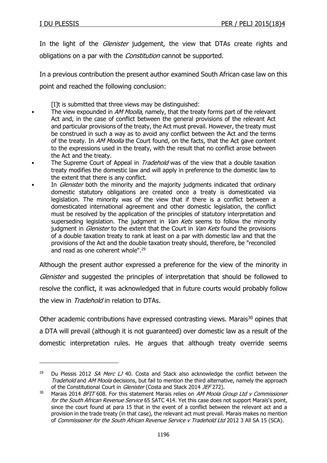-

In the light of the *Glenister* judgement, the view that DTAs create rights and obligations on a par with the *Constitution* cannot be supported.

In a previous contribution the present author examined South African case law on this point and reached the following conclusion:

[I]t is submitted that three views may be distinguished:

- The view expounded in AM Moolla, namely, that the treaty forms part of the relevant Act and, in the case of conflict between the general provisions of the relevant Act and particular provisions of the treaty, the Act must prevail. However, the treaty must be construed in such a way as to avoid any conflict between the Act and the terms of the treaty. In AM Moolla the Court found, on the facts, that the Act gave content to the expressions used in the treaty, with the result that no conflict arose between the Act and the treaty.
- The Supreme Court of Appeal in *Tradehold* was of the view that a double taxation treaty modifies the domestic law and will apply in preference to the domestic law to the extent that there is any conflict.
- In *Glenister* both the minority and the majority judgments indicated that ordinary domestic statutory obligations are created once a treaty is domesticated via legislation. The minority was of the view that if there is a conflict between a domesticated international agreement and other domestic legislation, the conflict must be resolved by the application of the principles of statutory interpretation and superseding legislation. The judgment in *Van Kets* seems to follow the minority judgment in *Glenister* to the extent that the Court in *Van Kets* found the provisions of a double taxation treaty to rank at least on a par with domestic law and that the provisions of the Act and the double taxation treaty should, therefore, be "reconciled and read as one coherent whole".<sup>29</sup>

Although the present author expressed a preference for the view of the minority in Glenister and suggested the principles of interpretation that should be followed to resolve the conflict, it was acknowledged that in future courts would probably follow the view in *Tradehold* in relation to DTAs.

Other academic contributions have expressed contrasting views. Marais<sup>30</sup> opines that a DTA will prevail (although it is not guaranteed) over domestic law as a result of the domestic interpretation rules. He argues that although treaty override seems

<sup>&</sup>lt;sup>29</sup> Du Plessis 2012 *SA Merc LJ* 40. Costa and Stack also acknowledge the conflict between the Tradehold and AM Moola decisions, but fail to mention the third alternative, namely the approach of the Constitutional Court in Glenister (Costa and Stack 2014 JEF 272).

 $30$  Marais 2014 BFIT 608. For this statement Marais relies on AM Moola Group Ltd v Commissioner for the South African Revenue Service 65 SATC 414. Yet this case does not support Marais's point, since the court found at para 15 that in the event of a conflict between the relevant act and a provision in the trade treaty (in that case), the relevant act must prevail. Marais makes no mention of Commissioner for the South African Revenue Service v Tradehold Ltd 2012 3 All SA 15 (SCA).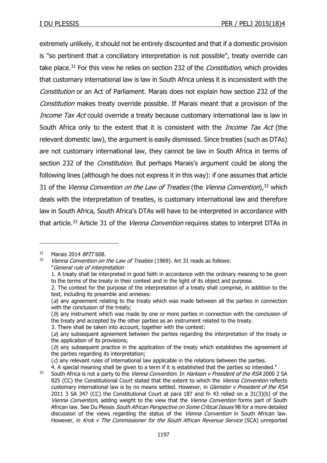extremely unlikely, it should not be entirely discounted and that if a domestic provision is "so pertinent that a conciliatory interpretation is not possible", treaty override can take place.<sup>31</sup> For this view he relies on section 232 of the *Constitution*, which provides that customary international law is law in South Africa unless it is inconsistent with the Constitution or an Act of Parliament. Marais does not explain how section 232 of the Constitution makes treaty override possible. If Marais meant that a provision of the Income Tax Act could override a treaty because customary international law is law in South Africa only to the extent that it is consistent with the *Income Tax Act* (the relevant domestic law), the argument is easily dismissed. Since treaties (such as DTAs) are not customary international law, they cannot be law in South Africa in terms of section 232 of the *Constitution*. But perhaps Marais's argument could be along the following lines (although he does not express it in this way): if one assumes that article 31 of the *Vienna Convention on the Law of Treaties* (the *Vienna Convention*),  $32$  which deals with the interpretation of treaties, is customary international law and therefore law in South Africa, South Africa's DTAs will have to be interpreted in accordance with that article.<sup>33</sup> Article 31 of the *Vienna Convention* requires states to interpret DTAs in

 $31$  Marais 2014 *BFIT* 608.

Vienna Convention on the Law of Treaties (1969). Art 31 reads as follows: "General rule of interpretation

<sup>1.</sup> A treaty shall be interpreted in good faith in accordance with the ordinary meaning to be given to the terms of the treaty in their context and in the light of its object and purpose.

<sup>2.</sup> The context for the purpose of the interpretation of a treaty shall comprise, in addition to the text, including its preamble and annexes:

 $(a)$  any agreement relating to the treaty which was made between all the parties in connection with the conclusion of the treaty;

 $(b)$  any instrument which was made by one or more parties in connection with the conclusion of the treaty and accepted by the other parties as an instrument related to the treaty.

<sup>3.</sup> There shall be taken into account, together with the context:

 $(a)$  any subsequent agreement between the parties regarding the interpretation of the treaty or the application of its provisions;

 $(b)$  any subsequent practice in the application of the treaty which establishes the agreement of the parties regarding its interpretation;

 $(c)$  any relevant rules of international law applicable in the relations between the parties.

<sup>4.</sup> A special meaning shall be given to a term if it is established that the parties so intended."

<sup>&</sup>lt;sup>33</sup> South Africa is not a party to the Vienna Convention. In Harksen v President of the RSA 2000 2 SA 825 (CC) the Constitutional Court stated that the extent to which the Vienna Convention reflects customary international law is by no means settled. However, in *Glenister v President of the RSA* 2011 3 SA 347 (CC) the Constitutional Court at para 187 and fn 43 relied on a 31(3)(b) of the Vienna Convention, adding weight to the view that the Vienna Convention forms part of South African law. See Du Plessis South African Perspective on Some Critical Issues 98 for a more detailed discussion of the views regarding the status of the Vienna Convention in South African law. However, in Krok v The Commissioner for the South African Revenue Service (SCA) unreported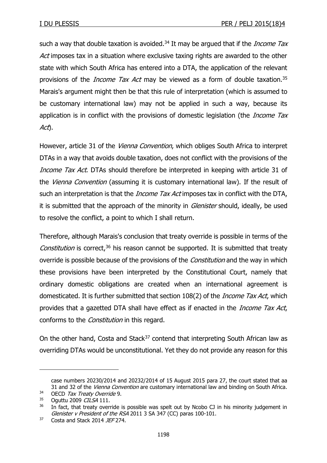such a way that double taxation is avoided.<sup>34</sup> It may be argued that if the *Income Tax* Act imposes tax in a situation where exclusive taxing rights are awarded to the other state with which South Africa has entered into a DTA, the application of the relevant provisions of the *Income Tax Act* may be viewed as a form of double taxation.<sup>35</sup> Marais's argument might then be that this rule of interpretation (which is assumed to be customary international law) may not be applied in such a way, because its application is in conflict with the provisions of domestic legislation (the *Income Tax* Act).

However, article 31 of the *Vienna Convention*, which obliges South Africa to interpret DTAs in a way that avoids double taxation, does not conflict with the provisions of the Income Tax Act. DTAs should therefore be interpreted in keeping with article 31 of the *Vienna Convention* (assuming it is customary international law). If the result of such an interpretation is that the *Income Tax Act* imposes tax in conflict with the DTA, it is submitted that the approach of the minority in *Glenister* should, ideally, be used to resolve the conflict, a point to which I shall return.

Therefore, although Marais's conclusion that treaty override is possible in terms of the *Constitution* is correct,<sup>36</sup> his reason cannot be supported. It is submitted that treaty override is possible because of the provisions of the *Constitution* and the way in which these provisions have been interpreted by the Constitutional Court, namely that ordinary domestic obligations are created when an international agreement is domesticated. It is further submitted that section 108(2) of the *Income Tax Act*, which provides that a gazetted DTA shall have effect as if enacted in the *Income Tax Act*, conforms to the *Constitution* in this regard.

On the other hand, Costa and Stack<sup>37</sup> contend that interpreting South African law as overriding DTAs would be unconstitutional. Yet they do not provide any reason for this

case numbers 20230/2014 and 20232/2014 of 15 August 2015 para 27, the court stated that aa 31 and 32 of the Vienna Convention are customary international law and binding on South Africa.

 $34$  OECD Tax Treaty Override 9.<br> $35$  Oguttu 2009 CILSA 111

 $^{35}$  Oguttu 2009 CILSA 111.

In fact, that treaty override is possible was spelt out by Ncobo CJ in his minority judgement in Glenister v President of the RSA 2011 3 SA 347 (CC) paras 100-101.

<sup>&</sup>lt;sup>37</sup> Costa and Stack 2014 JEF 274.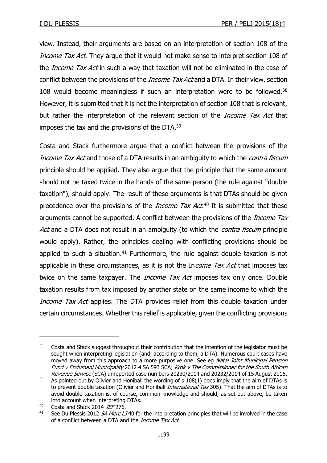view. Instead, their arguments are based on an interpretation of section 108 of the Income Tax Act. They argue that it would not make sense to interpret section 108 of the *Income Tax Act* in such a way that taxation will not be eliminated in the case of conflict between the provisions of the *Income Tax Act* and a DTA. In their view, section 108 would become meaningless if such an interpretation were to be followed.<sup>38</sup> However, it is submitted that it is not the interpretation of section 108 that is relevant, but rather the interpretation of the relevant section of the *Income Tax Act* that imposes the tax and the provisions of the DTA.<sup>39</sup>

Costa and Stack furthermore argue that a conflict between the provisions of the Income Tax Act and those of a DTA results in an ambiguity to which the contra fiscum principle should be applied. They also argue that the principle that the same amount should not be taxed twice in the hands of the same person (the rule against "double taxation"), should apply. The result of these arguments is that DTAs should be given precedence over the provisions of the *Income Tax Act*.<sup>40</sup> It is submitted that these arguments cannot be supported. A conflict between the provisions of the *Income Tax* Act and a DTA does not result in an ambiguity (to which the *contra fiscum* principle would apply). Rather, the principles dealing with conflicting provisions should be applied to such a situation.<sup>41</sup> Furthermore, the rule against double taxation is not applicable in these circumstances, as it is not the Income Tax Act that imposes tax twice on the same taxpayer. The *Income Tax Act* imposes tax only once. Double taxation results from tax imposed by another state on the same income to which the Income Tax Act applies. The DTA provides relief from this double taxation under certain circumstances. Whether this relief is applicable, given the conflicting provisions

<sup>&</sup>lt;sup>38</sup> Costa and Stack suggest throughout their contribution that the intention of the legislator must be sought when interpreting legislation (and, according to them, a DTA). Numerous court cases have moved away from this approach to a more purposive one. See eq Natal Joint Municipal Pension Fund v Endumeni Municipality 2012 4 SA 593 SCA; Krok v The Commissioner for the South African Revenue Service (SCA) unreported case numbers 20230/2014 and 20232/2014 of 15 August 2015.

<sup>&</sup>lt;sup>39</sup> As pointed out by Olivier and Honiball the wording of s 108(1) does imply that the aim of DTAs is to prevent double taxation (Olivier and Honiball *International Tax* 305). That the aim of DTAs is to avoid double taxation is, of course, common knowledge and should, as set out above, be taken into account when interpreting DTAs.

 $40$  Costa and Stack 2014 JEF 276.

<sup>&</sup>lt;sup>41</sup> See Du Plessis 2012 *SA Merc LJ* 40 for the interpretation principles that will be involved in the case of a conflict between a DTA and the *Income Tax Act*.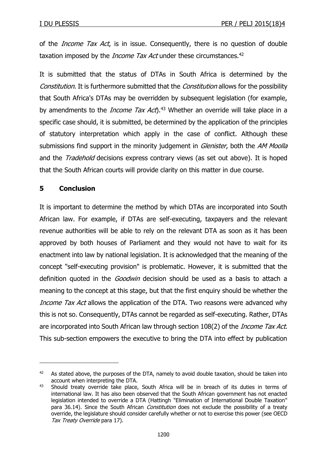of the *Income Tax Act*, is in issue. Consequently, there is no question of double taxation imposed by the *Income Tax Act* under these circumstances.<sup>42</sup>

It is submitted that the status of DTAs in South Africa is determined by the Constitution. It is furthermore submitted that the *Constitution* allows for the possibility that South Africa's DTAs may be overridden by subsequent legislation (for example, by amendments to the *Income Tax Act*).<sup>43</sup> Whether an override will take place in a specific case should, it is submitted, be determined by the application of the principles of statutory interpretation which apply in the case of conflict. Although these submissions find support in the minority judgement in *Glenister*, both the AM Moolla and the *Tradehold* decisions express contrary views (as set out above). It is hoped that the South African courts will provide clarity on this matter in due course.

# **5 Conclusion**

-

It is important to determine the method by which DTAs are incorporated into South African law. For example, if DTAs are self-executing, taxpayers and the relevant revenue authorities will be able to rely on the relevant DTA as soon as it has been approved by both houses of Parliament and they would not have to wait for its enactment into law by national legislation. It is acknowledged that the meaning of the concept "self-executing provision" is problematic. However, it is submitted that the definition quoted in the *Goodwin* decision should be used as a basis to attach a meaning to the concept at this stage, but that the first enquiry should be whether the Income Tax Act allows the application of the DTA. Two reasons were advanced why this is not so. Consequently, DTAs cannot be regarded as self-executing. Rather, DTAs are incorporated into South African law through section 108(2) of the *Income Tax Act*. This sub-section empowers the executive to bring the DTA into effect by publication

 $42$  As stated above, the purposes of the DTA, namely to avoid double taxation, should be taken into account when interpreting the DTA.

<sup>&</sup>lt;sup>43</sup> Should treaty override take place, South Africa will be in breach of its duties in terms of international law. It has also been observed that the South African government has not enacted legislation intended to override a DTA (Hattingh "Elimination of International Double Taxation" para 36.14). Since the South African *Constitution* does not exclude the possibility of a treaty override, the legislature should consider carefully whether or not to exercise this power (see OECD Tax Treaty Override para 17).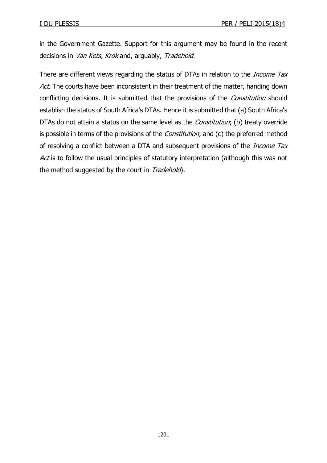in the Government Gazette. Support for this argument may be found in the recent decisions in Van Kets, Krok and, arguably, Tradehold.

There are different views regarding the status of DTAs in relation to the *Income Tax* Act. The courts have been inconsistent in their treatment of the matter, handing down conflicting decisions. It is submitted that the provisions of the *Constitution* should establish the status of South Africa's DTAs. Hence it is submitted that (a) South Africa's DTAs do not attain a status on the same level as the *Constitution*; (b) treaty override is possible in terms of the provisions of the *Constitution*; and (c) the preferred method of resolving a conflict between a DTA and subsequent provisions of the *Income Tax* Act is to follow the usual principles of statutory interpretation (although this was not the method suggested by the court in Tradehold).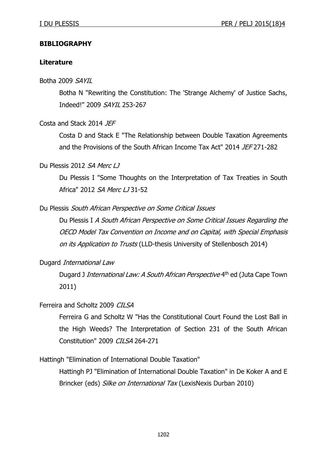### **BIBLIOGRAPHY**

#### **Literature**

```
Botha 2009 SAYIL
```
Botha N "Rewriting the Constitution: The 'Strange Alchemy' of Justice Sachs, Indeed!" 2009 SAYIL 253-267

#### Costa and Stack 2014 JEF

Costa D and Stack E "The Relationship between Double Taxation Agreements and the Provisions of the South African Income Tax Act" 2014 JEF 271-282

### Du Plessis 2012 SA Merc LJ

Du Plessis I "Some Thoughts on the Interpretation of Tax Treaties in South Africa" 2012 SA Merc LJ 31-52

#### Du Plessis South African Perspective on Some Critical Issues

Du Plessis I A South African Perspective on Some Critical Issues Regarding the OECD Model Tax Convention on Income and on Capital, with Special Emphasis on its Application to Trusts (LLD-thesis University of Stellenbosch 2014)

#### Dugard International Law

Dugard J International Law: A South African Perspective 4<sup>th</sup> ed (Juta Cape Town 2011)

#### Ferreira and Scholtz 2009 CILSA

Ferreira G and Scholtz W "Has the Constitutional Court Found the Lost Ball in the High Weeds? The Interpretation of Section 231 of the South African Constitution" 2009 CILSA 264-271

#### Hattingh "Elimination of International Double Taxation"

Hattingh PJ "Elimination of International Double Taxation" in De Koker A and E Brincker (eds) Silke on International Tax (LexisNexis Durban 2010)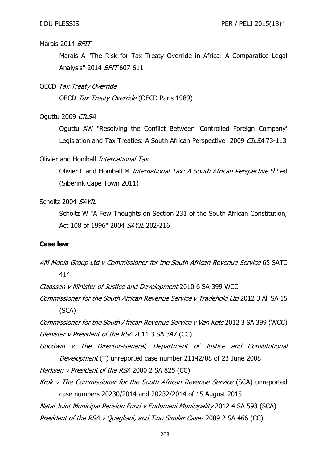#### Marais 2014 BFIT

Marais A "The Risk for Tax Treaty Override in Africa: A Comparatice Legal Analysis" 2014 BFIT 607-611

OECD Tax Treaty Override

OECD Tax Treaty Override (OECD Paris 1989)

#### Oguttu 2009 CILSA

Oguttu AW "Resolving the Conflict Between 'Controlled Foreign Company' Legislation and Tax Treaties: A South African Perspective" 2009 CILSA 73-113

#### Olivier and Honiball International Tax

Olivier L and Honiball M International Tax: A South African Perspective 5<sup>th</sup> ed (Siberink Cape Town 2011)

Scholtz 2004 SAYIL

Scholtz W "A Few Thoughts on Section 231 of the South African Constitution, Act 108 of 1996" 2004 SAYIL 202-216

#### **Case law**

AM Moola Group Ltd v Commissioner for the South African Revenue Service 65 SATC 414

Claassen v Minister of Justice and Development 2010 6 SA 399 WCC

Commissioner for the South African Revenue Service v Tradehold Ltd 2012 3 All SA 15 (SCA)

Commissioner for the South African Revenue Service v Van Kets 2012 3 SA 399 (WCC) Glenister v President of the RSA 2011 3 SA 347 (CC)

Goodwin v The Director-General, Department of Justice and Constitutional Development (T) unreported case number 21142/08 of 23 June 2008 Harksen v President of the RSA 2000 2 SA 825 (CC)

Krok v The Commissioner for the South African Revenue Service (SCA) unreported case numbers 20230/2014 and 20232/2014 of 15 August 2015 Natal Joint Municipal Pension Fund v Endumeni Municipality 2012 4 SA 593 (SCA)

President of the RSA v Quagliani, and Two Similar Cases 2009 2 SA 466 (CC)